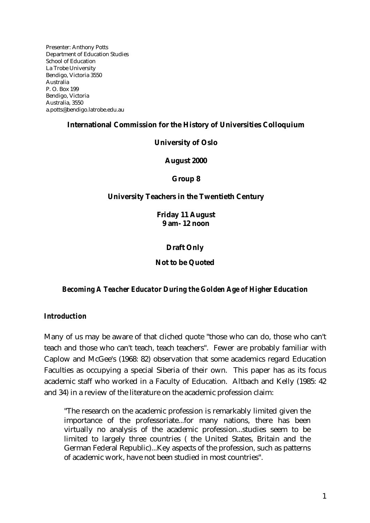Presenter: Anthony Potts Department of Education Studies School of Education La Trobe University Bendigo, Victoria 3550 Australia P. O. Box 199 Bendigo, Victoria Australia, 3550 a.potts@bendigo.latrobe.edu.au

## **International Commission for the History of Universities Colloquium**

## **University of Oslo**

**August 2000**

**Group 8**

## **University Teachers in the Twentieth Century**

**Friday 11 August 9 am- 12 noon**

**Draft Only**

**Not to be Quoted**

## *Becoming A Teacher Educator During the Golden Age of Higher Education*

## *Introduction*

Many of us may be aware of that cliched quote "those who can do, those who can't teach and those who can't teach, teach teachers". Fewer are probably familiar with Caplow and McGee's (1968: 82) observation that some academics regard Education Faculties as occupying a special Siberia of their own. This paper has as its focus academic staff who worked in a Faculty of Education. Altbach and Kelly (1985: 42 and 34) in a review of the literature on the academic profession claim:

"The research on the academic profession is remarkably limited given the importance of the professoriate...for many nations, there has been virtually no analysis of the academic profession...studies seem to be limited to largely three countries ( the United States, Britain and the German Federal Republic)...Key aspects of the profession, such as patterns of academic work, have not been studied in most countries".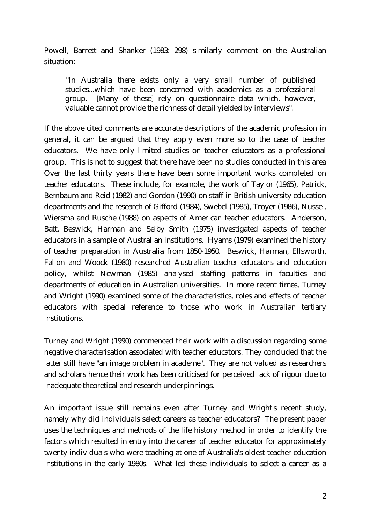Powell, Barrett and Shanker (1983: 298) similarly comment on the Australian situation:

"In Australia there exists only a very small number of published studies...which have been concerned with academics as a professional group. [Many of these] rely on questionnaire data which, however, valuable cannot provide the richness of detail yielded by interviews".

If the above cited comments are accurate descriptions of the academic profession in general, it can be argued that they apply even more so to the case of teacher educators. We have only limited studies on teacher educators as a professional group. This is not to suggest that there have been no studies conducted in this area Over the last thirty years there have been some important works completed on teacher educators. These include, for example, the work of Taylor (1965), Patrick, Bernbaum and Reid (1982) and Gordon (1990) on staff in British university education departments and the research of Gifford (1984), Swebel (1985), Troyer (1986), Nussel, Wiersma and Rusche (1988) on aspects of American teacher educators. Anderson, Batt, Beswick, Harman and Selby Smith (1975) investigated aspects of teacher educators in a sample of Australian institutions. Hyams (1979) examined the history of teacher preparation in Australia from 1850-1950. Beswick, Harman, Ellsworth, Fallon and Woock (1980) researched Australian teacher educators and education policy, whilst Newman (1985) analysed staffing patterns in faculties and departments of education in Australian universities. In more recent times, Turney and Wright (1990) examined some of the characteristics, roles and effects of teacher educators with special reference to those who work in Australian tertiary institutions.

Turney and Wright (1990) commenced their work with a discussion regarding some negative characterisation associated with teacher educators. They concluded that the latter still have "an image problem in academe". They are not valued as researchers and scholars hence their work has been criticised for perceived lack of rigour due to inadequate theoretical and research underpinnings.

An important issue still remains even after Turney and Wright's recent study, namely why did individuals select careers as teacher educators? The present paper uses the techniques and methods of the life history method in order to identify the factors which resulted in entry into the career of teacher educator for approximately twenty individuals who were teaching at one of Australia's oldest teacher education institutions in the early 1980s. What led these individuals to select a career as a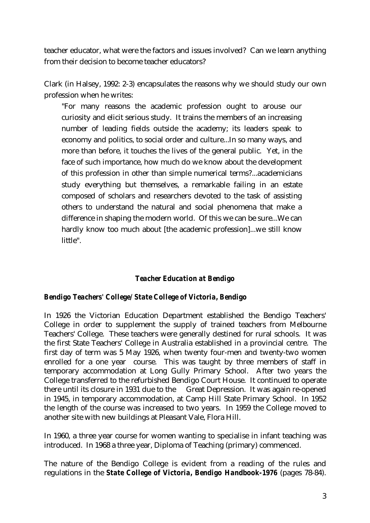teacher educator, what were the factors and issues involved? Can we learn anything from their decision to become teacher educators?

Clark (in Halsey, 1992: 2-3) encapsulates the reasons why we should study our own profession when he writes:

"For many reasons the academic profession ought to arouse our curiosity and elicit serious study. It trains the members of an increasing number of leading fields outside the academy; its leaders speak to economy and politics, to social order and culture...In so many ways, and more than before, it touches the lives of the general public. Yet, in the face of such importance, how much do we know about the development of this profession in other than simple numerical terms?...academicians study everything but themselves, a remarkable failing in an estate composed of scholars and researchers devoted to the task of assisting others to understand the natural and social phenomena that make a difference in shaping the modern world. Of this we can be sure...We can hardly know too much about [the academic profession]...we still know little".

## *Teacher Education at Bendigo*

## *Bendigo Teachers' College/ State College of Victoria, Bendigo*

In 1926 the Victorian Education Department established the Bendigo Teachers' College in order to supplement the supply of trained teachers from Melbourne Teachers' College. These teachers were generally destined for rural schools. It was the first State Teachers' College in Australia established in a provincial centre. The first day of term was 5 May 1926, when twenty four-men and twenty-two women enrolled for a one year course. This was taught by three members of staff in temporary accommodation at Long Gully Primary School. After two years the College transferred to the refurbished Bendigo Court House. It continued to operate there until its closure in 1931 due to the Great Depression. It was again re-opened in 1945, in temporary accommodation, at Camp Hill State Primary School. In 1952 the length of the course was increased to two years. In 1959 the College moved to another site with new buildings at Pleasant Vale, Flora Hill.

In 1960, a three year course for women wanting to specialise in infant teaching was introduced. In 1968 a three year, Diploma of Teaching (primary) commenced.

The nature of the Bendigo College is evident from a reading of the rules and regulations in the *State College of Victoria, Bendigo Handbook-1976* (pages 78-84).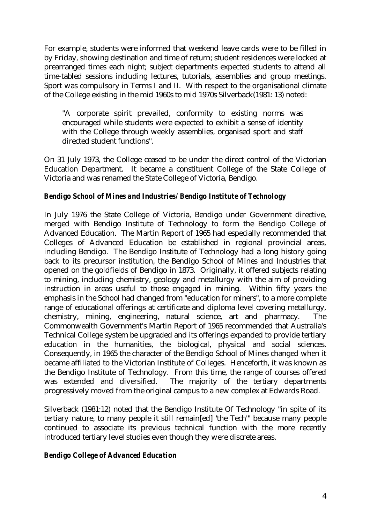For example, students were informed that weekend leave cards were to be filled in by Friday, showing destination and time of return; student residences were locked at prearranged times each night; subject departments expected students to attend all time-tabled sessions including lectures, tutorials, assemblies and group meetings. Sport was compulsory in Terms I and II. With respect to the organisational climate of the College existing in the mid 1960s to mid 1970s Silverback(1981: 13) noted:

"A corporate spirit prevailed, conformity to existing norms was encouraged while students were expected to exhibit a sense of identity with the College through weekly assemblies, organised sport and staff directed student functions".

On 31 July 1973, the College ceased to be under the direct control of the Victorian Education Department. It became a constituent College of the State College of Victoria and was renamed the State College of Victoria, Bendigo.

# *Bendigo School of Mines and Industries/ Bendigo Institute of Technology*

In July 1976 the State College of Victoria, Bendigo under Government directive, merged with Bendigo Institute of Technology to form the Bendigo College of Advanced Education. The Martin Report of 1965 had especially recommended that Colleges of Advanced Education be established in regional provincial areas, including Bendigo. The Bendigo Institute of Technology had a long history going back to its precursor institution, the Bendigo School of Mines and Industries that opened on the goldfields of Bendigo in 1873. Originally, it offered subjects relating to mining, including chemistry, geology and metallurgy with the aim of providing instruction in areas useful to those engaged in mining. Within fifty years the emphasis in the School had changed from "education for miners", to a more complete range of educational offerings at certificate and diploma level covering metallurgy, chemistry, mining, engineering, natural science, art and pharmacy. The Commonwealth Government's Martin Report of 1965 recommended that Australia's Technical College system be upgraded and its offerings expanded to provide tertiary education in the humanities, the biological, physical and social sciences. Consequently, in 1965 the character of the Bendigo School of Mines changed when it became affiliated to the Victorian Institute of Colleges. Henceforth, it was known as the Bendigo Institute of Technology. From this time, the range of courses offered was extended and diversified. The majority of the tertiary departments progressively moved from the original campus to a new complex at Edwards Road.

Silverback (1981:12) noted that the Bendigo Institute Of Technology "in spite of its tertiary nature, to many people it still remain[ed] 'the Tech'" because many people continued to associate its previous technical function with the more recently introduced tertiary level studies even though they were discrete areas.

## *Bendigo College of Advanced Education*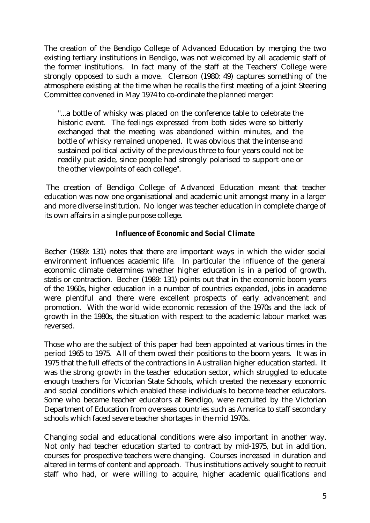The creation of the Bendigo College of Advanced Education by merging the two existing tertiary institutions in Bendigo, was not welcomed by all academic staff of the former institutions. In fact many of the staff at the Teachers' College were strongly opposed to such a move. Clemson (1980: 49) captures something of the atmosphere existing at the time when he recalls the first meeting of a joint Steering Committee convened in May 1974 to co-ordinate the planned merger:

"...a bottle of whisky was placed on the conference table to celebrate the historic event. The feelings expressed from both sides were so bitterly exchanged that the meeting was abandoned within minutes, and the bottle of whisky remained unopened. It was obvious that the intense and sustained political activity of the previous three to four years could not be readily put aside, since people had strongly polarised to support one or the other viewpoints of each college".

 The creation of Bendigo College of Advanced Education meant that teacher education was now one organisational and academic unit amongst many in a larger and more diverse institution. No longer was teacher education in complete charge of its own affairs in a single purpose college.

# *Influence of Economic and Social Climate*

Becher (1989: 131) notes that there are important ways in which the wider social environment influences academic life. In particular the influence of the general economic climate determines whether higher education is in a period of growth, statis or contraction. Becher (1989: 131) points out that in the economic boom years of the 1960s, higher education in a number of countries expanded, jobs in academe were plentiful and there were excellent prospects of early advancement and promotion. With the world wide economic recession of the 1970s and the lack of growth in the 1980s, the situation with respect to the academic labour market was reversed.

Those who are the subject of this paper had been appointed at various times in the period 1965 to 1975. All of them owed their positions to the boom years. It was in 1975 that the full effects of the contractions in Australian higher education started. It was the strong growth in the teacher education sector, which struggled to educate enough teachers for Victorian State Schools, which created the necessary economic and social conditions which enabled these individuals to become teacher educators. Some who became teacher educators at Bendigo, were recruited by the Victorian Department of Education from overseas countries such as America to staff secondary schools which faced severe teacher shortages in the mid 1970s.

Changing social and educational conditions were also important in another way. Not only had teacher education started to contract by mid-1975, but in addition, courses for prospective teachers were changing. Courses increased in duration and altered in terms of content and approach. Thus institutions actively sought to recruit staff who had, or were willing to acquire, higher academic qualifications and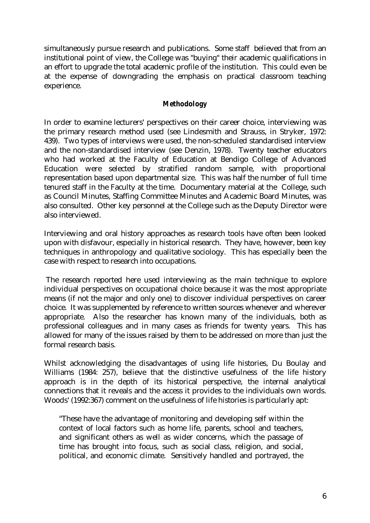simultaneously pursue research and publications. Some staff believed that from an institutional point of view, the College was "buying" their academic qualifications in an effort to upgrade the total academic profile of the institution. This could even be at the expense of downgrading the emphasis on practical classroom teaching experience.

# *Methodology*

In order to examine lecturers' perspectives on their career choice, interviewing was the primary research method used (see Lindesmith and Strauss, in Stryker, 1972: 439). Two types of interviews were used, the non-scheduled standardised interview and the non-standardised interview (see Denzin, 1978). Twenty teacher educators who had worked at the Faculty of Education at Bendigo College of Advanced Education were selected by stratified random sample, with proportional representation based upon departmental size. This was half the number of full time tenured staff in the Faculty at the time. Documentary material at the College, such as Council Minutes, Staffing Committee Minutes and Academic Board Minutes, was also consulted. Other key personnel at the College such as the Deputy Director were also interviewed.

Interviewing and oral history approaches as research tools have often been looked upon with disfavour, especially in historical research. They have, however, been key techniques in anthropology and qualitative sociology. This has especially been the case with respect to research into occupations.

 The research reported here used interviewing as the main technique to explore individual perspectives on occupational choice because it was the most appropriate means (if not the major and only one) to discover individual perspectives on career choice. It was supplemented by reference to written sources whenever and wherever appropriate. Also the researcher has known many of the individuals, both as professional colleagues and in many cases as friends for twenty years. This has allowed for many of the issues raised by them to be addressed on more than just the formal research basis.

Whilst acknowledging the disadvantages of using life histories, Du Boulay and Williams (1984: 257), believe that the distinctive usefulness of the life history approach is in the depth of its historical perspective, the internal analytical connections that it reveals and the access it provides to the individuals own words. Woods' (1992:367) comment on the usefulness of life histories is particularly apt:

"These have the advantage of monitoring and developing self within the context of local factors such as home life, parents, school and teachers, and significant others as well as wider concerns, which the passage of time has brought into focus, such as social class, religion, and social, political, and economic climate. Sensitively handled and portrayed, the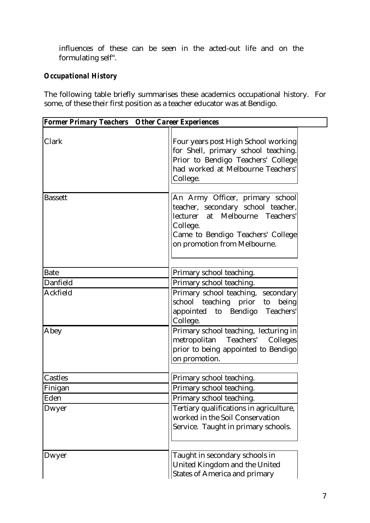influences of these can be seen in the acted-out life and on the formulating self".

# *Occupational History*

The following table briefly summarises these academics occupational history. For some, of these their first position as a teacher educator was at Bendigo.

| <b>Former Primary Teachers Other Career Experiences</b> |                                                                                                                                                                                           |
|---------------------------------------------------------|-------------------------------------------------------------------------------------------------------------------------------------------------------------------------------------------|
| Clark                                                   | Four years post High School working<br>for Shell, primary school teaching.<br>Prior to Bendigo Teachers' College<br>had worked at Melbourne Teachers'<br>College.                         |
| <b>Bassett</b>                                          | An Army Officer, primary school<br>teacher, secondary school teacher,<br>lecturer at Melbourne Teachers'<br>College.<br>Came to Bendigo Teachers' College<br>on promotion from Melbourne. |
| <b>Bate</b>                                             | Primary school teaching.                                                                                                                                                                  |
| Danfield                                                | Primary school teaching.                                                                                                                                                                  |
| Ackfield                                                | Primary school teaching, secondary<br>school teaching prior to being<br>appointed to Bendigo Teachers'<br>College.                                                                        |
| Abey                                                    | Primary school teaching, lecturing in<br>metropolitan<br>Teachers'<br>Colleges<br>prior to being appointed to Bendigo<br>on promotion.                                                    |
| Castles                                                 | Primary school teaching.                                                                                                                                                                  |
| Finigan                                                 | Primary school teaching.                                                                                                                                                                  |
| Eden                                                    | Primary school teaching.                                                                                                                                                                  |
| Dwyer                                                   | Tertiary qualifications in agriculture,<br>worked in the Soil Conservation<br>Service. Taught in primary schools.                                                                         |
| Dwyer                                                   | Taught in secondary schools in<br>United Kingdom and the United<br><b>States of America and primary</b>                                                                                   |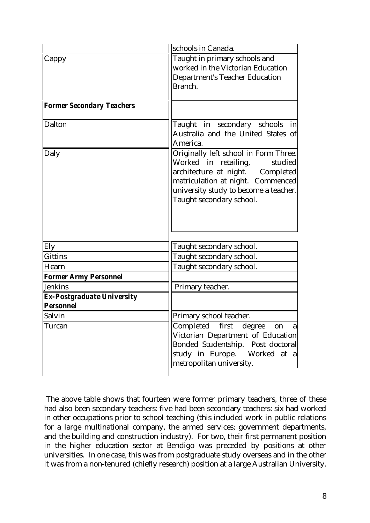|                                   | schools in Canada.                    |
|-----------------------------------|---------------------------------------|
| Cappy                             | Taught in primary schools and         |
|                                   | worked in the Victorian Education     |
|                                   | <b>Department's Teacher Education</b> |
|                                   | Branch.                               |
|                                   |                                       |
| <b>Former Secondary Teachers</b>  |                                       |
| Dalton                            | Taught in secondary schools<br>in     |
|                                   | Australia and the United States of    |
|                                   | America.                              |
| Daly                              | Originally left school in Form Three. |
|                                   | Worked in retailing,<br>studied       |
|                                   | architecture at night. Completed      |
|                                   | matriculation at night. Commenced     |
|                                   | university study to become a teacher. |
|                                   | Taught secondary school.              |
|                                   |                                       |
|                                   |                                       |
|                                   |                                       |
| Ely                               | Taught secondary school.              |
| <b>Gittins</b>                    | Taught secondary school.              |
| Hearn                             | Taught secondary school.              |
| <b>Former Army Personnel</b>      |                                       |
| Jenkins                           | Primary teacher.                      |
| <b>Ex-Postgraduate University</b> |                                       |
| <b>Personnel</b>                  |                                       |
| Salvin                            | Primary school teacher.               |
| Turcan                            | Completed first degree<br>on<br>a     |
|                                   | Victorian Department of Education     |
|                                   | Bonded Studentship. Post doctoral     |
|                                   | study in Europe. Worked at a          |
|                                   | metropolitan university.              |
|                                   |                                       |

 The above table shows that fourteen were former primary teachers, three of these had also been secondary teachers: five had been secondary teachers: six had worked in other occupations prior to school teaching (this included work in public relations for a large multinational company, the armed services; government departments, and the building and construction industry). For two, their first permanent position in the higher education sector at Bendigo was preceded by positions at other universities. In one case, this was from postgraduate study overseas and in the other it was from a non-tenured (chiefly research) position at a large Australian University.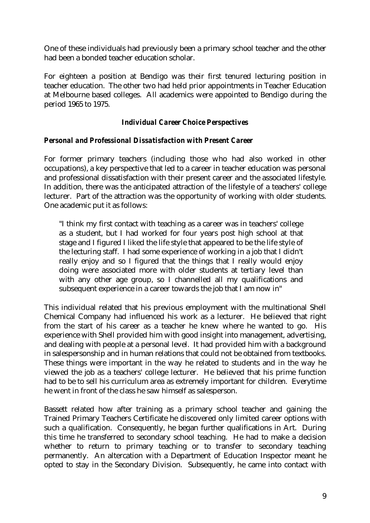One of these individuals had previously been a primary school teacher and the other had been a bonded teacher education scholar.

For eighteen a position at Bendigo was their first tenured lecturing position in teacher education. The other two had held prior appointments in Teacher Education at Melbourne based colleges. All academics were appointed to Bendigo during the period 1965 to 1975.

## *Individual Career Choice Perspectives*

## *Personal and Professional Dissatisfaction with Present Career*

For former primary teachers (including those who had also worked in other occupations), a key perspective that led to a career in teacher education was personal and professional dissatisfaction with their present career and the associated lifestyle. In addition, there was the anticipated attraction of the lifestyle of a teachers' college lecturer. Part of the attraction was the opportunity of working with older students. One academic put it as follows:

"I think my first contact with teaching as a career was in teachers' college as a student, but I had worked for four years post high school at that stage and I figured I liked the life style that appeared to be the life style of the lecturing staff. I had some experience of working in a job that I didn't really enjoy and so I figured that the things that I really would enjoy doing were associated more with older students at tertiary level than with any other age group, so I channelled all my qualifications and subsequent experience in a career towards the job that I am now in"

This individual related that his previous employment with the multinational Shell Chemical Company had influenced his work as a lecturer. He believed that right from the start of his career as a teacher he knew where he wanted to go. His experience with Shell provided him with good insight into management, advertising, and dealing with people at a personal level. It had provided him with a background in salespersonship and in human relations that could not be obtained from textbooks. These things were important in the way he related to students and in the way he viewed the job as a teachers' college lecturer. He believed that his prime function had to be to sell his curriculum area as extremely important for children. Everytime he went in front of the class he saw himself as salesperson.

Bassett related how after training as a primary school teacher and gaining the Trained Primary Teachers Certificate he discovered only limited career options with such a qualification. Consequently, he began further qualifications in Art. During this time he transferred to secondary school teaching. He had to make a decision whether to return to primary teaching or to transfer to secondary teaching permanently. An altercation with a Department of Education Inspector meant he opted to stay in the Secondary Division. Subsequently, he came into contact with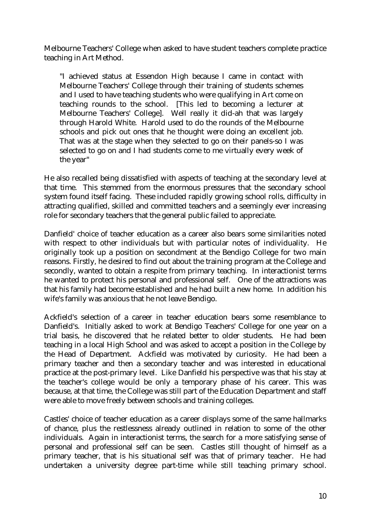Melbourne Teachers' College when asked to have student teachers complete practice teaching in Art Method.

"I achieved status at Essendon High because I came in contact with Melbourne Teachers' College through their training of students schemes and I used to have teaching students who were qualifying in Art come on teaching rounds to the school. [This led to becoming a lecturer at Melbourne Teachers' College]. Well really it did-ah that was largely through Harold White. Harold used to do the rounds of the Melbourne schools and pick out ones that he thought were doing an excellent job. That was at the stage when they selected to go on their panels-so I was selected to go on and I had students come to me virtually every week of the year"

He also recalled being dissatisfied with aspects of teaching at the secondary level at that time. This stemmed from the enormous pressures that the secondary school system found itself facing. These included rapidly growing school rolls, difficulty in attracting qualified, skilled and committed teachers and a seemingly ever increasing role for secondary teachers that the general public failed to appreciate.

Danfield' choice of teacher education as a career also bears some similarities noted with respect to other individuals but with particular notes of individuality. He originally took up a position on secondment at the Bendigo College for two main reasons. Firstly, he desired to find out about the training program at the College and secondly, wanted to obtain a respite from primary teaching. In interactionist terms he wanted to protect his personal and professional self. One of the attractions was that his family had become established and he had built a new home. In addition his wife's family was anxious that he not leave Bendigo.

Ackfield's selection of a career in teacher education bears some resemblance to Danfield's. Initially asked to work at Bendigo Teachers' College for one year on a trial basis, he discovered that he related better to older students. He had been teaching in a local High School and was asked to accept a position in the College by the Head of Department. Ackfield was motivated by curiosity. He had been a primary teacher and then a secondary teacher and was interested in educational practice at the post-primary level. Like Danfield his perspective was that his stay at the teacher's college would be only a temporary phase of his career. This was because, at that time, the College was still part of the Education Department and staff were able to move freely between schools and training colleges.

Castles' choice of teacher education as a career displays some of the same hallmarks of chance, plus the restlessness already outlined in relation to some of the other individuals. Again in interactionist terms, the search for a more satisfying sense of personal and professional self can be seen. Castles still thought of himself as a primary teacher, that is his situational self was that of primary teacher. He had undertaken a university degree part-time while still teaching primary school.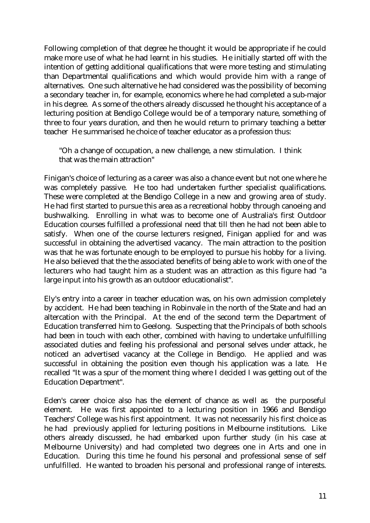Following completion of that degree he thought it would be appropriate if he could make more use of what he had learnt in his studies. He initially started off with the intention of getting additional qualifications that were more testing and stimulating than Departmental qualifications and which would provide him with a range of alternatives. One such alternative he had considered was the possibility of becoming a secondary teacher in, for example, economics where he had completed a sub-major in his degree. As some of the others already discussed he thought his acceptance of a lecturing position at Bendigo College would be of a temporary nature, something of three to four years duration, and then he would return to primary teaching a better teacher He summarised he choice of teacher educator as a profession thus:

"Oh a change of occupation, a new challenge, a new stimulation. I think that was the main attraction"

Finigan's choice of lecturing as a career was also a chance event but not one where he was completely passive. He too had undertaken further specialist qualifications. These were completed at the Bendigo College in a new and growing area of study. He had first started to pursue this area as a recreational hobby through canoeing and bushwalking. Enrolling in what was to become one of Australia's first Outdoor Education courses fulfilled a professional need that till then he had not been able to satisfy. When one of the course lecturers resigned, Finigan applied for and was successful in obtaining the advertised vacancy. The main attraction to the position was that he was fortunate enough to be employed to pursue his hobby for a living. He also believed that the the associated benefits of being able to work with one of the lecturers who had taught him as a student was an attraction as this figure had "a large input into his growth as an outdoor educationalist".

Ely's entry into a career in teacher education was, on his own admission completely by accident. He had been teaching in Robinvale in the north of the State and had an altercation with the Principal. At the end of the second term the Department of Education transferred him to Geelong. Suspecting that the Principals of both schools had been in touch with each other, combined with having to undertake unfulfilling associated duties and feeling his professional and personal selves under attack, he noticed an advertised vacancy at the College in Bendigo. He applied and was successful in obtaining the position even though his application was a late. He recalled "It was a spur of the moment thing where I decided I was getting out of the Education Department".

Eden's career choice also has the element of chance as well as the purposeful element. He was first appointed to a lecturing position in 1966 and Bendigo Teachers' College was his first appointment. It was not necessarily his first choice as he had previously applied for lecturing positions in Melbourne institutions. Like others already discussed, he had embarked upon further study (in his case at Melbourne University) and had completed two degrees one in Arts and one in Education. During this time he found his personal and professional sense of self unfulfilled. He wanted to broaden his personal and professional range of interests.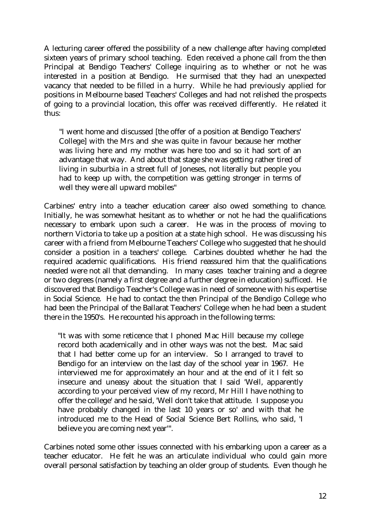A lecturing career offered the possibility of a new challenge after having completed sixteen years of primary school teaching. Eden received a phone call from the then Principal at Bendigo Teachers' College inquiring as to whether or not he was interested in a position at Bendigo. He surmised that they had an unexpected vacancy that needed to be filled in a hurry. While he had previously applied for positions in Melbourne based Teachers' Colleges and had not relished the prospects of going to a provincial location, this offer was received differently. He related it thus:

"I went home and discussed [the offer of a position at Bendigo Teachers' College] with the Mrs and she was quite in favour because her mother was living here and my mother was here too and so it had sort of an advantage that way. And about that stage she was getting rather tired of living in suburbia in a street full of Joneses, not literally but people you had to keep up with, the competition was getting stronger in terms of well they were all upward mobiles"

Carbines' entry into a teacher education career also owed something to chance. Initially, he was somewhat hesitant as to whether or not he had the qualifications necessary to embark upon such a career. He was in the process of moving to northern Victoria to take up a position at a state high school. He was discussing his career with a friend from Melbourne Teachers' College who suggested that he should consider a position in a teachers' college. Carbines doubted whether he had the required academic qualifications. His friend reassured him that the qualifications needed were not all that demanding. In many cases teacher training and a degree or two degrees (namely a first degree and a further degree in education) sufficed. He discovered that Bendigo Teacher's College was in need of someone with his expertise in Social Science. He had to contact the then Principal of the Bendigo College who had been the Principal of the Ballarat Teachers' College when he had been a student there in the 1950's. He recounted his approach in the following terms:

"It was with some reticence that I phoned Mac Hill because my college record both academically and in other ways was not the best. Mac said that I had better come up for an interview. So I arranged to travel to Bendigo for an interview on the last day of the school year in 1967. He interviewed me for approximately an hour and at the end of it I felt so insecure and uneasy about the situation that I said 'Well, apparently according to your perceived view of my record, Mr Hill I have nothing to offer the college' and he said, 'Well don't take that attitude. I suppose you have probably changed in the last 10 years or so' and with that he introduced me to the Head of Social Science Bert Rollins, who said, 'I believe you are coming next year'".

Carbines noted some other issues connected with his embarking upon a career as a teacher educator. He felt he was an articulate individual who could gain more overall personal satisfaction by teaching an older group of students. Even though he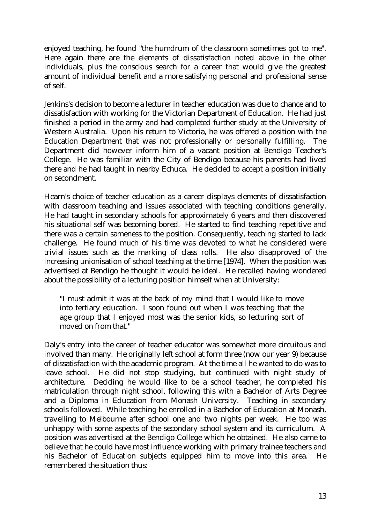enjoyed teaching, he found "the humdrum of the classroom sometimes got to me". Here again there are the elements of dissatisfaction noted above in the other individuals, plus the conscious search for a career that would give the greatest amount of individual benefit and a more satisfying personal and professional sense of self.

Jenkins's decision to become a lecturer in teacher education was due to chance and to dissatisfaction with working for the Victorian Department of Education. He had just finished a period in the army and had completed further study at the University of Western Australia. Upon his return to Victoria, he was offered a position with the Education Department that was not professionally or personally fulfilling. Department did however inform him of a vacant position at Bendigo Teacher's College. He was familiar with the City of Bendigo because his parents had lived there and he had taught in nearby Echuca. He decided to accept a position initially on secondment.

Hearn's choice of teacher education as a career displays elements of dissatisfaction with classroom teaching and issues associated with teaching conditions generally. He had taught in secondary schools for approximately 6 years and then discovered his situational self was becoming bored. He started to find teaching repetitive and there was a certain sameness to the position. Consequently, teaching started to lack challenge. He found much of his time was devoted to what he considered were trivial issues such as the marking of class rolls. He also disapproved of the increasing unionisation of school teaching at the time [1974]. When the position was advertised at Bendigo he thought it would be ideal. He recalled having wondered about the possibility of a lecturing position himself when at University:

"I must admit it was at the back of my mind that I would like to move into tertiary education. I soon found out when I was teaching that the age group that I enjoyed most was the senior kids, so lecturing sort of moved on from that."

Daly's entry into the career of teacher educator was somewhat more circuitous and involved than many. He originally left school at form three (now our year 9) because of dissatisfaction with the academic program. At the time all he wanted to do was to leave school. He did not stop studying, but continued with night study of architecture. Deciding he would like to be a school teacher, he completed his matriculation through night school, following this with a Bachelor of Arts Degree and a Diploma in Education from Monash University. Teaching in secondary schools followed. While teaching he enrolled in a Bachelor of Education at Monash, travelling to Melbourne after school one and two nights per week. He too was unhappy with some aspects of the secondary school system and its curriculum. A position was advertised at the Bendigo College which he obtained. He also came to believe that he could have most influence working with primary trainee teachers and his Bachelor of Education subjects equipped him to move into this area. He remembered the situation thus: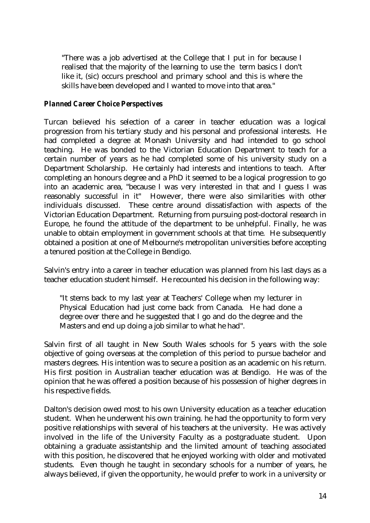"There was a job advertised at the College that I put in for because I realised that the majority of the learning to use the term basics I don't like it, (sic) occurs preschool and primary school and this is where the skills have been developed and I wanted to move into that area."

## *Planned Career Choice Perspectives*

Turcan believed his selection of a career in teacher education was a logical progression from his tertiary study and his personal and professional interests. He had completed a degree at Monash University and had intended to go school teaching. He was bonded to the Victorian Education Department to teach for a certain number of years as he had completed some of his university study on a Department Scholarship. He certainly had interests and intentions to teach. After completing an honours degree and a PhD it seemed to be a logical progression to go into an academic area, "because I was very interested in that and I guess I was reasonably successful in it" However, there were also similarities with other individuals discussed. These centre around dissatisfaction with aspects of the Victorian Education Department. Returning from pursuing post-doctoral research in Europe, he found the attitude of the department to be unhelpful. Finally, he was unable to obtain employment in government schools at that time. He subsequently obtained a position at one of Melbourne's metropolitan universities before accepting a tenured position at the College in Bendigo.

Salvin's entry into a career in teacher education was planned from his last days as a teacher education student himself. He recounted his decision in the following way:

"It stems back to my last year at Teachers' College when my lecturer in Physical Education had just come back from Canada. He had done a degree over there and he suggested that I go and do the degree and the Masters and end up doing a job similar to what he had".

Salvin first of all taught in New South Wales schools for 5 years with the sole objective of going overseas at the completion of this period to pursue bachelor and masters degrees. His intention was to secure a position as an academic on his return. His first position in Australian teacher education was at Bendigo. He was of the opinion that he was offered a position because of his possession of higher degrees in his respective fields.

Dalton's decision owed most to his own University education as a teacher education student. When he underwent his own training. he had the opportunity to form very positive relationships with several of his teachers at the university. He was actively involved in the life of the University Faculty as a postgraduate student. Upon obtaining a graduate assistantship and the limited amount of teaching associated with this position, he discovered that he enjoyed working with older and motivated students. Even though he taught in secondary schools for a number of years, he always believed, if given the opportunity, he would prefer to work in a university or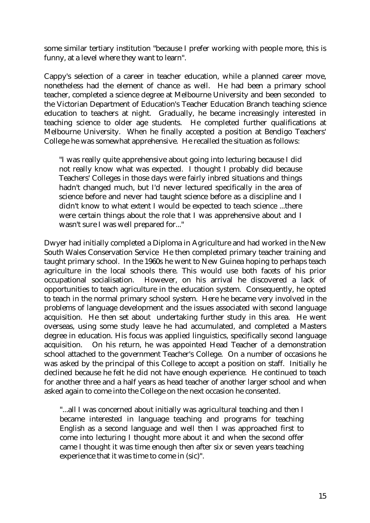some similar tertiary institution "because I prefer working with people more, this is funny, at a level where they want to learn".

Cappy's selection of a career in teacher education, while a planned career move, nonetheless had the element of chance as well. He had been a primary school teacher, completed a science degree at Melbourne University and been seconded to the Victorian Department of Education's Teacher Education Branch teaching science education to teachers at night. Gradually, he became increasingly interested in teaching science to older age students. He completed further qualifications at Melbourne University. When he finally accepted a position at Bendigo Teachers' College he was somewhat apprehensive. He recalled the situation as follows:

"I was really quite apprehensive about going into lecturing because I did not really know what was expected. I thought I probably did because Teachers' Colleges in those days were fairly inbred situations and things hadn't changed much, but I'd never lectured specifically in the area of science before and never had taught science before as a discipline and I didn't know to what extent I would be expected to teach science ...there were certain things about the role that I was apprehensive about and I wasn't sure I was well prepared for..."

Dwyer had initially completed a Diploma in Agriculture and had worked in the New South Wales Conservation Service He then completed primary teacher training and taught primary school. In the 1960s he went to New Guinea hoping to perhaps teach agriculture in the local schools there. This would use both facets of his prior occupational socialisation. However, on his arrival he discovered a lack of opportunities to teach agriculture in the education system. Consequently, he opted to teach in the normal primary school system. Here he became very involved in the problems of language development and the issues associated with second language acquisition. He then set about undertaking further study in this area. He went overseas, using some study leave he had accumulated, and completed a Masters degree in education. His focus was applied linguistics, specifically second language acquisition. On his return, he was appointed Head Teacher of a demonstration school attached to the government Teacher's College. On a number of occasions he was asked by the principal of this College to accept a position on staff. Initially he declined because he felt he did not have enough experience. He continued to teach for another three and a half years as head teacher of another larger school and when asked again to come into the College on the next occasion he consented.

"...all I was concerned about initially was agricultural teaching and then I became interested in language teaching and programs for teaching English as a second language and well then I was approached first to come into lecturing I thought more about it and when the second offer came I thought it was time enough then after six or seven years teaching experience that it was time to come in (sic)".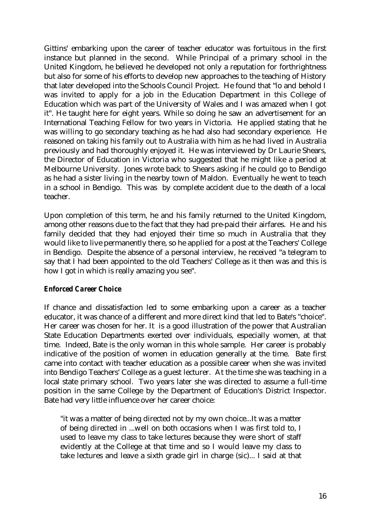Gittins' embarking upon the career of teacher educator was fortuitous in the first instance but planned in the second. While Principal of a primary school in the United Kingdom, he believed he developed not only a reputation for forthrightness but also for some of his efforts to develop new approaches to the teaching of History that later developed into the Schools Council Project. He found that "lo and behold I was invited to apply for a job in the Education Department in this College of Education which was part of the University of Wales and I was amazed when I got it". He taught here for eight years. While so doing he saw an advertisement for an International Teaching Fellow for two years in Victoria. He applied stating that he was willing to go secondary teaching as he had also had secondary experience. He reasoned on taking his family out to Australia with him as he had lived in Australia previously and had thoroughly enjoyed it. He was interviewed by Dr Laurie Shears, the Director of Education in Victoria who suggested that he might like a period at Melbourne University. Jones wrote back to Shears asking if he could go to Bendigo as he had a sister living in the nearby town of Maldon. Eventually he went to teach in a school in Bendigo. This was by complete accident due to the death of a local teacher.

Upon completion of this term, he and his family returned to the United Kingdom, among other reasons due to the fact that they had pre-paid their airfares. He and his family decided that they had enjoyed their time so much in Australia that they would like to live permanently there, so he applied for a post at the Teachers' College in Bendigo. Despite the absence of a personal interview, he received "a telegram to say that I had been appointed to the old Teachers' College as it then was and this is how I got in which is really amazing you see".

## *Enforced Career Choice*

If chance and dissatisfaction led to some embarking upon a career as a teacher educator, it was chance of a different and more direct kind that led to Bate's "choice". Her career was chosen for her. It is a good illustration of the power that Australian State Education Departments exerted over individuals, especially women, at that time. Indeed, Bate is the only woman in this whole sample. Her career is probably indicative of the position of women in education generally at the time. Bate first came into contact with teacher education as a possible career when she was invited into Bendigo Teachers' College as a guest lecturer. At the time she was teaching in a local state primary school. Two years later she was directed to assume a full-time position in the same College by the Department of Education's District Inspector. Bate had very little influence over her career choice:

"it was a matter of being directed not by my own choice...It was a matter of being directed in ...well on both occasions when I was first told to, I used to leave my class to take lectures because they were short of staff evidently at the College at that time and so I would leave my class to take lectures and leave a sixth grade girl in charge (sic)... I said at that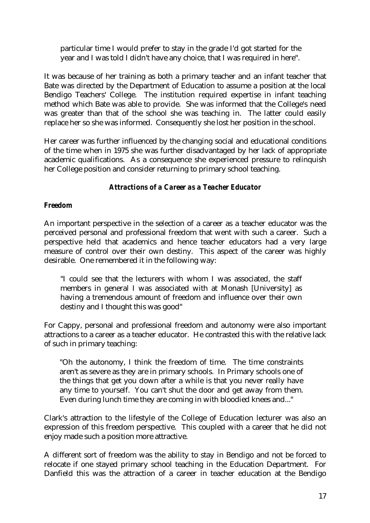particular time I would prefer to stay in the grade I'd got started for the year and I was told I didn't have any choice, that I was required in here".

It was because of her training as both a primary teacher and an infant teacher that Bate was directed by the Department of Education to assume a position at the local Bendigo Teachers' College. The institution required expertise in infant teaching method which Bate was able to provide. She was informed that the College's need was greater than that of the school she was teaching in. The latter could easily replace her so she was informed. Consequently she lost her position in the school.

Her career was further influenced by the changing social and educational conditions of the time when in 1975 she was further disadvantaged by her lack of appropriate academic qualifications. As a consequence she experienced pressure to relinquish her College position and consider returning to primary school teaching.

## *Attractions of a Career as a Teacher Educator*

## *Freedom*

An important perspective in the selection of a career as a teacher educator was the perceived personal and professional freedom that went with such a career. Such a perspective held that academics and hence teacher educators had a very large measure of control over their own destiny. This aspect of the career was highly desirable. One remembered it in the following way:

"I could see that the lecturers with whom I was associated, the staff members in general I was associated with at Monash [University] as having a tremendous amount of freedom and influence over their own destiny and I thought this was good"

For Cappy, personal and professional freedom and autonomy were also important attractions to a career as a teacher educator. He contrasted this with the relative lack of such in primary teaching:

"Oh the autonomy, I think the freedom of time. The time constraints aren't as severe as they are in primary schools. In Primary schools one of the things that get you down after a while is that you never really have any time to yourself. You can't shut the door and get away from them. Even during lunch time they are coming in with bloodied knees and..."

Clark's attraction to the lifestyle of the College of Education lecturer was also an expression of this freedom perspective. This coupled with a career that he did not enjoy made such a position more attractive.

A different sort of freedom was the ability to stay in Bendigo and not be forced to relocate if one stayed primary school teaching in the Education Department. For Danfield this was the attraction of a career in teacher education at the Bendigo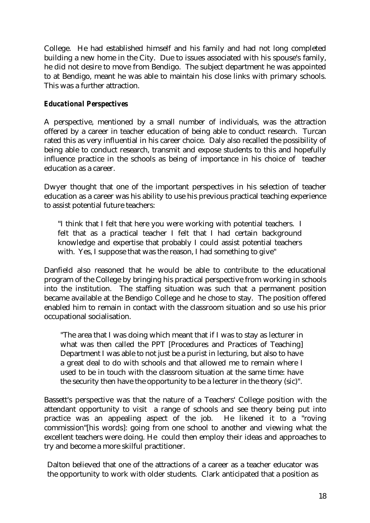College. He had established himself and his family and had not long completed building a new home in the City. Due to issues associated with his spouse's family, he did not desire to move from Bendigo. The subject department he was appointed to at Bendigo, meant he was able to maintain his close links with primary schools. This was a further attraction.

# *Educational Perspectives*

A perspective, mentioned by a small number of individuals, was the attraction offered by a career in teacher education of being able to conduct research. Turcan rated this as very influential in his career choice. Daly also recalled the possibility of being able to conduct research, transmit and expose students to this and hopefully influence practice in the schools as being of importance in his choice of teacher education as a career.

Dwyer thought that one of the important perspectives in his selection of teacher education as a career was his ability to use his previous practical teaching experience to assist potential future teachers:

"I think that I felt that here you were working with potential teachers. I felt that as a practical teacher I felt that I had certain background knowledge and expertise that probably I could assist potential teachers with. Yes, I suppose that was the reason, I had something to give"

Danfield also reasoned that he would be able to contribute to the educational program of the College by bringing his practical perspective from working in schools into the institution. The staffing situation was such that a permanent position became available at the Bendigo College and he chose to stay. The position offered enabled him to remain in contact with the classroom situation and so use his prior occupational socialisation.

"The area that I was doing which meant that if I was to stay as lecturer in what was then called the PPT [Procedures and Practices of Teaching] Department I was able to not just be a purist in lecturing, but also to have a great deal to do with schools and that allowed me to remain where I used to be in touch with the classroom situation at the same time: have the security then have the opportunity to be a lecturer in the theory (sic)".

Bassett's perspective was that the nature of a Teachers' College position with the attendant opportunity to visit a range of schools and see theory being put into practice was an appealing aspect of the job. He likened it to a "roving commission"[his words]: going from one school to another and viewing what the excellent teachers were doing. He could then employ their ideas and approaches to try and become a more skilful practitioner.

Dalton believed that one of the attractions of a career as a teacher educator was the opportunity to work with older students. Clark anticipated that a position as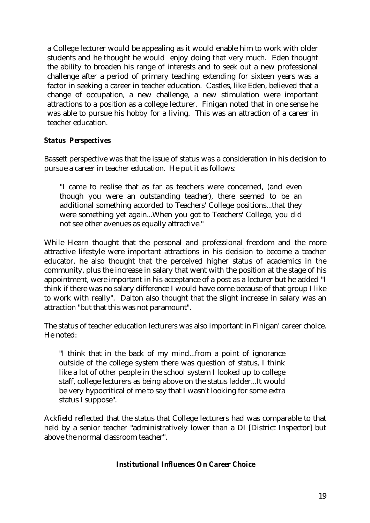a College lecturer would be appealing as it would enable him to work with older students and he thought he would enjoy doing that very much. Eden thought the ability to broaden his range of interests and to seek out a new professional challenge after a period of primary teaching extending for sixteen years was a factor in seeking a career in teacher education. Castles, like Eden, believed that a change of occupation, a new challenge, a new stimulation were important attractions to a position as a college lecturer. Finigan noted that in one sense he was able to pursue his hobby for a living. This was an attraction of a career in teacher education.

# *Status Perspectives*

Bassett perspective was that the issue of status was a consideration in his decision to pursue a career in teacher education. He put it as follows:

"I came to realise that as far as teachers were concerned, (and even though you were an outstanding teacher), there seemed to be an additional something accorded to Teachers' College positions...that they were something yet again...When you got to Teachers' College, you did not see other avenues as equally attractive."

While Hearn thought that the personal and professional freedom and the more attractive lifestyle were important attractions in his decision to become a teacher educator, he also thought that the perceived higher status of academics in the community, plus the increase in salary that went with the position at the stage of his appointment, were important in his acceptance of a post as a lecturer but he added "I think if there was no salary difference I would have come because of that group I like to work with really". Dalton also thought that the slight increase in salary was an attraction "but that this was not paramount".

The status of teacher education lecturers was also important in Finigan' career choice. He noted:

"I think that in the back of my mind...from a point of ignorance outside of the college system there was question of status, I think like a lot of other people in the school system I looked up to college staff, college lecturers as being above on the status ladder...It would be very hypocritical of me to say that I wasn't looking for some extra status I suppose".

Ackfield reflected that the status that College lecturers had was comparable to that held by a senior teacher "administratively lower than a DI [District Inspector] but above the normal classroom teacher".

# *Institutional Influences On Career Choice*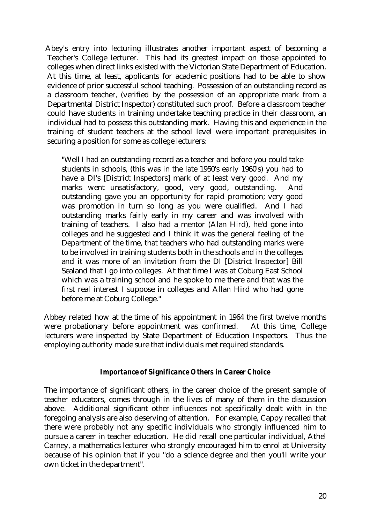Abey's entry into lecturing illustrates another important aspect of becoming a Teacher's College lecturer. This had its greatest impact on those appointed to colleges when direct links existed with the Victorian State Department of Education. At this time, at least, applicants for academic positions had to be able to show evidence of prior successful school teaching. Possession of an outstanding record as a classroom teacher, (verified by the possession of an appropriate mark from a Departmental District Inspector) constituted such proof. Before a classroom teacher could have students in training undertake teaching practice in their classroom, an individual had to possess this outstanding mark. Having this and experience in the training of student teachers at the school level were important prerequisites in securing a position for some as college lecturers:

"Well I had an outstanding record as a teacher and before you could take students in schools, (this was in the late 1950's early 1960's) you had to have a DI's [District Inspectors] mark of at least very good. And my marks went unsatisfactory, good, very good, outstanding. And outstanding gave you an opportunity for rapid promotion; very good was promotion in turn so long as you were qualified. And I had outstanding marks fairly early in my career and was involved with training of teachers. I also had a mentor (Alan Hird), he'd gone into colleges and he suggested and I think it was the general feeling of the Department of the time, that teachers who had outstanding marks were to be involved in training students both in the schools and in the colleges and it was more of an invitation from the DI [District Inspector] Bill Sealand that I go into colleges. At that time I was at Coburg East School which was a training school and he spoke to me there and that was the first real interest I suppose in colleges and Allan Hird who had gone before me at Coburg College."

Abbey related how at the time of his appointment in 1964 the first twelve months were probationary before appointment was confirmed. At this time, College lecturers were inspected by State Department of Education Inspectors. Thus the employing authority made sure that individuals met required standards.

## *Importance of Significance Others in Career Choice*

The importance of significant others, in the career choice of the present sample of teacher educators, comes through in the lives of many of them in the discussion above. Additional significant other influences not specifically dealt with in the foregoing analysis are also deserving of attention. For example, Cappy recalled that there were probably not any specific individuals who strongly influenced him to pursue a career in teacher education. He did recall one particular individual, Athel Carney, a mathematics lecturer who strongly encouraged him to enrol at University because of his opinion that if you "do a science degree and then you'll write your own ticket in the department".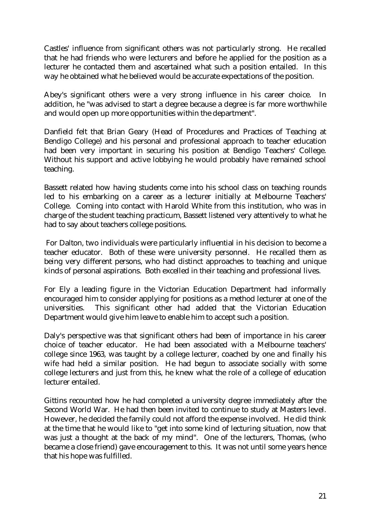Castles' influence from significant others was not particularly strong. He recalled that he had friends who were lecturers and before he applied for the position as a lecturer he contacted them and ascertained what such a position entailed. In this way he obtained what he believed would be accurate expectations of the position.

Abey's significant others were a very strong influence in his career choice. In addition, he "was advised to start a degree because a degree is far more worthwhile and would open up more opportunities within the department".

Danfield felt that Brian Geary (Head of Procedures and Practices of Teaching at Bendigo College) and his personal and professional approach to teacher education had been very important in securing his position at Bendigo Teachers' College. Without his support and active lobbying he would probably have remained school teaching.

Bassett related how having students come into his school class on teaching rounds led to his embarking on a career as a lecturer initially at Melbourne Teachers' College. Coming into contact with Harold White from this institution, who was in charge of the student teaching practicum, Bassett listened very attentively to what he had to say about teachers college positions.

 For Dalton, two individuals were particularly influential in his decision to become a teacher educator. Both of these were university personnel. He recalled them as being very different persons, who had distinct approaches to teaching and unique kinds of personal aspirations. Both excelled in their teaching and professional lives.

For Ely a leading figure in the Victorian Education Department had informally encouraged him to consider applying for positions as a method lecturer at one of the universities. This significant other had added that the Victorian Education Department would give him leave to enable him to accept such a position.

Daly's perspective was that significant others had been of importance in his career choice of teacher educator. He had been associated with a Melbourne teachers' college since 1963, was taught by a college lecturer, coached by one and finally his wife had held a similar position. He had begun to associate socially with some college lecturers and just from this, he knew what the role of a college of education lecturer entailed.

Gittins recounted how he had completed a university degree immediately after the Second World War. He had then been invited to continue to study at Masters level. However, he decided the family could not afford the expense involved. He did think at the time that he would like to "get into some kind of lecturing situation, now that was just a thought at the back of my mind". One of the lecturers, Thomas, (who became a close friend) gave encouragement to this. It was not until some years hence that his hope was fulfilled.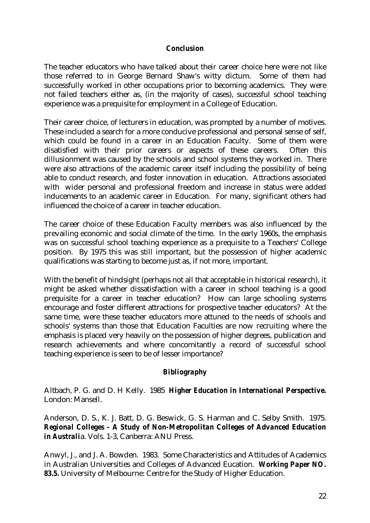## *Conclusion*

The teacher educators who have talked about their career choice here were not like those referred to in George Bernard Shaw's witty dictum. Some of them had successfully worked in other occupations prior to becoming academics. They were not failed teachers either as, (in the majority of cases), successful school teaching experience was a prequisite for employment in a College of Education.

Their career choice, of lecturers in education, was prompted by a number of motives. These included a search for a more conducive professional and personal sense of self, which could be found in a career in an Education Faculty. Some of them were disatisfied with their prior careers or aspects of these careers. Often this dillusionment was caused by the schools and school systems they worked in. There were also attractions of the academic career itself including the possibility of being able to conduct research, and foster innovation in education. Attractions associated with wider personal and professional freedom and increase in status were added inducements to an academic career in Education. For many, significant others had influenced the choice of a career in teacher education.

The career choice of these Education Faculty members was also influenced by the prevailing economic and social climate of the time. In the early 1960s, the emphasis was on successful school teaching experience as a prequisite to a Teachers' College position. By 1975 this was still important, but the possession of higher academic qualifications was starting to become just as, if not more, important.

With the benefit of hindsight (perhaps not all that acceptable in historical research), it might be asked whether dissatisfaction with a career in school teaching is a good prequisite for a career in teacher education? How can large schooling systems encourage and foster different attractions for prospective teacher educators? At the same time, were these teacher educators more attuned to the needs of schools and schools' systems than those that Education Faculties are now recruiting where the emphasis is placed very heavily on the possession of higher degrees, publication and research achievements and where concomitantly a record of successful school teaching experience is seen to be of lesser importance?

# *Bibliography*

Altbach, P. G. and D. H Kelly. 1985 *Higher Education in International Perspective.* London: Mansell.

Anderson, D. S., K. J. Batt, D. G. Beswick, G. S. Harman and C. Selby Smith. 1975. *Regional Colleges - A Study of Non-Metropolitan Colleges of Advanced Education in Australi*a. Vols. 1-3, Canberra: ANU Press.

Anwyl, J., and J. A. Bowden. 1983. Some Characteristics and Attitudes of Academics in Australian Universities and Colleges of Advanced Eucation. *Working Paper NO. 83.5.* University of Melbourne: Centre for the Study of Higher Education.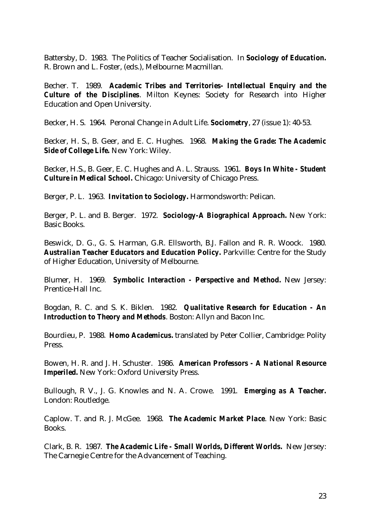Battersby, D. 1983. The Politics of Teacher Socialisation. In *Sociology of Education.* R. Brown and L. Foster, (eds.), Melbourne: Macmillan.

Becher. T. 1989. *Academic Tribes and Territories- Intellectual Enquiry and the Culture of the Disciplines*. Milton Keynes: Society for Research into Higher Education and Open University.

Becker, H. S. 1964. Peronal Change in Adult Life. *Sociometry*, 27 (issue 1): 40-53.

Becker, H. S., B. Geer, and E. C. Hughes. 1968. *Making the Grade: The Academic Side of College Life.* New York: Wiley.

Becker, H.S., B. Geer, E. C. Hughes and A. L. Strauss. 1961. *Boys In White - Student Culture in Medical School.* Chicago: University of Chicago Press.

Berger, P. L. 1963. *Invitation to Sociology.* Harmondsworth: Pelican.

Berger, P. L. and B. Berger. 1972. *Sociology-A Biographical Approach.* New York: Basic Books.

Beswick, D. G., G. S. Harman, G.R. Ellsworth, B.J. Fallon and R. R. Woock. 1980. *Australian Teacher Educators and Education Policy.* Parkville: Centre for the Study of Higher Education, University of Melbourne.

Blumer, H. 1969. *Symbolic Interaction - Perspective and Method.* New Jersey: Prentice-Hall Inc.

Bogdan, R. C. and S. K. Biklen. 1982. *Qualitative Research for Education - An Introduction to Theory and Methods*. Boston: Allyn and Bacon Inc.

Bourdieu, P. 1988. *Homo Academicus.* translated by Peter Collier, Cambridge: Polity Press.

Bowen, H. R. and J. H. Schuster. 1986. *American Professors - A National Resource Imperiled.* New York: Oxford University Press.

Bullough, R V., J. G. Knowles and N. A. Crowe. 1991. *Emerging as A Teacher.* London: Routledge.

Caplow. T. and R. J. McGee. 1968. *The Academic Market Place*. New York: Basic Books.

Clark, B. R. 1987. *The Academic Life - Small Worlds, Different Worlds.* New Jersey: The Carnegie Centre for the Advancement of Teaching.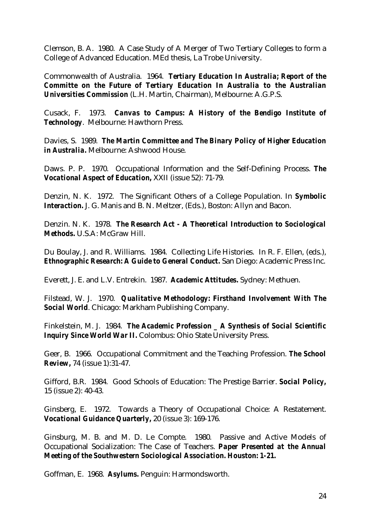Clemson, B. A. 1980. A Case Study of A Merger of Two Tertiary Colleges to form a College of Advanced Education. MEd thesis, La Trobe University.

Commonwealth of Australia. 1964. *Tertiary Education In Australia; Report of the Committe on the Future of Tertiary Education In Australia to the Australian Universities Commission* (L.H. Martin, Chairman), Melbourne: A.G.P.S.

Cusack, F. 1973. *Canvas to Campus: A History of the Bendigo Institute of Technology*. Melbourne: Hawthorn Press.

Davies, S. 1989. *The Martin Committee and The Binary Policy of Higher Education in Australia.* Melbourne: Ashwood House.

Daws. P. P. 1970. Occupational Information and the Self-Defining Process. *The Vocational Aspect of Education,* XXII (issue 52): 71-79.

Denzin, N. K. 1972. The Significant Others of a College Population. In *Symbolic Interaction.* J. G. Manis and B. N. Meltzer, (Eds.), Boston: Allyn and Bacon.

Denzin. N. K. 1978. *The Research Act - A Theoretical Introduction to Sociological Methods.* U.S.A: McGraw Hill.

Du Boulay, J. and R. Williams. 1984. Collecting Life Histories. In R. F. Ellen, (eds.), *Ethnographic Research: A Guide to General Conduct.* San Diego: Academic Press Inc.

Everett, J. E. and L.V. Entrekin. 1987. *Academic Attitudes.* Sydney: Methuen.

Filstead, W. J. 1970. *Qualitative Methodology: Firsthand Involvement With The Social World*. Chicago: Markham Publishing Company.

Finkelstein, M. J. 1984. *The Academic Profession \_ A Synthesis of Social Scientific Inquiry Since World War II.* Colombus: Ohio State University Press.

Geer, B. 1966. Occupational Commitment and the Teaching Profession. *The School Review,* 74 (issue 1):31-47.

Gifford, B.R. 1984. Good Schools of Education: The Prestige Barrier. *Social Policy,* 15 (issue 2): 40-43.

Ginsberg, E. 1972. Towards a Theory of Occupational Choice: A Restatement. *Vocational Guidance Quarterly,* 20 (issue 3): 169-176.

Ginsburg, M. B. and M. D. Le Compte. 1980. Passive and Active Models of Occupational Socialization: The Case of Teachers. *Paper Presented at the Annual Meeting of the Southwestern Sociological Association. Houston: 1-21.*

Goffman, E. 1968. *Asylums.* Penguin: Harmondsworth.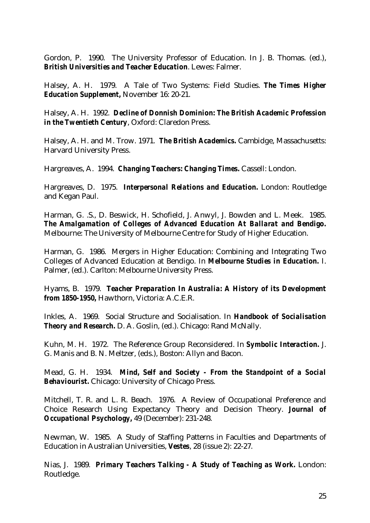Gordon, P. 1990. The University Professor of Education. In J. B. Thomas. (ed.), *British Universities and Teacher Education*. Lewes: Falmer.

Halsey, A. H.1979. A Tale of Two Systems: Field Studies. *The Times Higher Education Supplement,* November 16: 20-21.

Halsey, A. H. 1992. *Decline of Donnish Dominion: The British Academic Profession in the Twentieth Century*, Oxford: Claredon Press.

Halsey, A. H. and M. Trow. 1971. *The British Academics.* Cambidge, Massachusetts: Harvard University Press.

Hargreaves, A. 1994. *Changing Teachers: Changing Times.* Cassell: London.

Hargreaves, D. 1975. *Interpersonal Relations and Education.* London: Routledge and Kegan Paul.

Harman, G. .S., D. Beswick, H. Schofield, J. Anwyl, J. Bowden and L. Meek. 1985. *The Amalgamation of Colleges of Advanced Education At Ballarat and Bendigo.* Melbourne: The University of Melbourne Centre for Study of Higher Education.

Harman, G. 1986. Mergers in Higher Education: Combining and Integrating Two Colleges of Advanced Education at Bendigo. In *Melbourne Studies in Education.* I. Palmer, (ed.). Carlton: Melbourne University Press.

Hyams, B. 1979. *Teacher Preparation In Australia: A History of its Development from 1850-1950,* Hawthorn, Victoria: A.C.E.R.

Inkles, A. 1969. Social Structure and Socialisation. In *Handbook of Socialisation Theory and Research.* D. A. Goslin, (ed.). Chicago: Rand McNally.

Kuhn, M. H. 1972. The Reference Group Reconsidered. In *Symbolic Interaction.* J. G. Manis and B. N. Meltzer, (eds.), Boston: Allyn and Bacon.

Mead, G. H. 1934. *Mind, Self and Society - From the Standpoint of a Social Behaviourist.* Chicago: University of Chicago Press.

Mitchell, T. R. and L. R. Beach. 1976. A Review of Occupational Preference and Choice Research Using Expectancy Theory and Decision Theory. *Journal of Occupational Psychology,* 49 (December): 231-248.

Newman, W. 1985. A Study of Staffing Patterns in Faculties and Departments of Education in Australian Universities, *Vestes*, 28 (issue 2): 22-27.

Nias, J. 1989. *Primary Teachers Talking - A Study of Teaching as Work.* London: Routledge.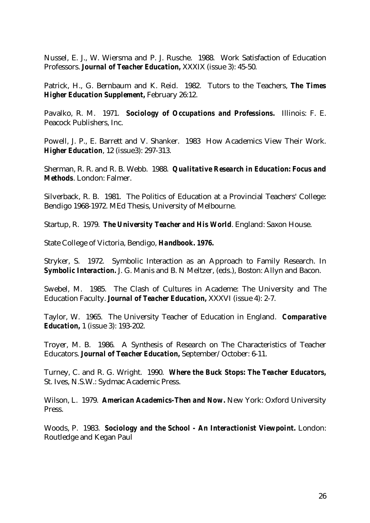Nussel, E. J., W. Wiersma and P. J. Rusche. 1988. Work Satisfaction of Education Professors. *Journal of Teacher Education,* XXXIX (issue 3): 45-50.

Patrick, H., G. Bernbaum and K. Reid. 1982. Tutors to the Teachers, *The Times Higher Education Supplement,* February 26:12.

Pavalko, R. M. 1971. *Sociology of Occupations and Professions.* Illinois: F. E. Peacock Publishers, Inc.

Powell, J. P., E. Barrett and V. Shanker. 1983 How Academics View Their Work. *Higher Education*, 12 (issue3): 297-313.

Sherman, R. R. and R. B. Webb. 1988. *Qualitative Research in Education: Focus and Methods*. London: Falmer.

Silverback, R. B. 1981. The Politics of Education at a Provincial Teachers' College: Bendigo 1968-1972. MEd Thesis, University of Melbourne.

Startup, R. 1979. *The University Teacher and His World*. England: Saxon House.

State College of Victoria, Bendigo, *Handbook. 1976.*

Stryker, S. 1972. Symbolic Interaction as an Approach to Family Research. In *Symbolic Interaction.* J. G. Manis and B. N Meltzer, (eds.), Boston: Allyn and Bacon.

Swebel, M. 1985. The Clash of Cultures in Academe: The University and The Education Faculty. *Journal of Teacher Education,* XXXVI (issue 4): 2-7.

Taylor, W. 1965. The University Teacher of Education in England. *Comparative Education,* 1 (issue 3): 193-202.

Troyer, M. B. 1986. A Synthesis of Research on The Characteristics of Teacher Educators. *Journal of Teacher Education,* September/October: 6-11.

Turney, C. and R. G. Wright. 1990. *Where the Buck Stops: The Teacher Educators,* St. Ives, N.S.W.: Sydmac Academic Press.

Wilson, L. 1979. *American Academics-Then and Now.* New York: Oxford University Press.

Woods, P. 1983. *Sociology and the School - An Interactionist Viewpoint.* London: Routledge and Kegan Paul